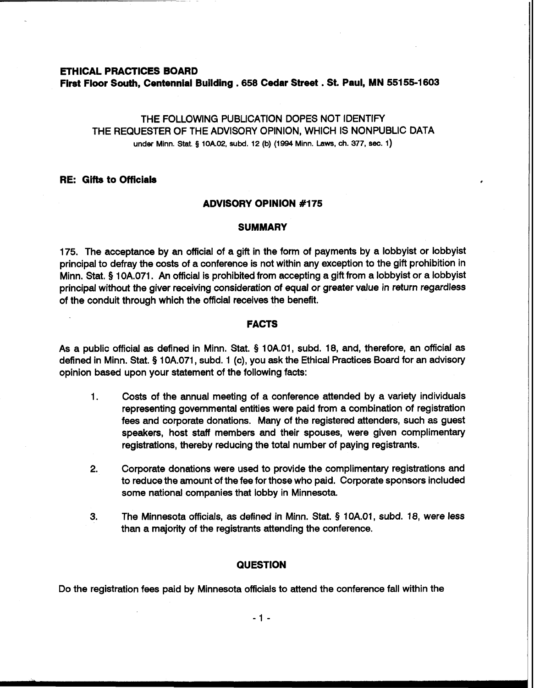## **ETHICAL PRACTICES BOARD First Floor South, Centennial Building ,658 Cedar Street** . **St. Paul, MN 551 55-1 603**

# THE FOLLOWING PUBLICATION DOPES NOT IDENTIFY THE REQUESTER OF THE ADVISORY OPINION, WHICH IS NONPUBLIC DATA under Minn. Stat. **3 10k02, subd. 12 (b) (1994 Minn. Laws, ch. 377, sec. 1)**

#### **RE: Gifts to Officials**

## **ADVISORY OPINION #I75**

#### **SUMMARY**

175. The acceptance by an official of a gift in the form of payments by a lobbyist or lobbyist principal to defray the costs of a conference is not within any exception to the gift prohibition in Minn. Stat, § 1 OA.071. An official is prohibited from accepting a gift from a lobbyist or a lobbyist principal without the giver receiving consideration of equal or greater value in return regardless of the conduit through which the official receives the benefit.

## **FACTS**

As a public official as defined in Minn. Stat. **5** 1 0A.01, subd. 18, and, therefore, an official as defined in Minn. Stat. § 10A.071, subd. 1 (c), you ask the Ethical Practices Board for an advisory opinion based upon your statement of the following facts:

- 1. Costs of the annual meeting of a conference attended by a variety individuals representing governmental entities were paid from a combination of registration fees and corporate donations. Many of the registered attenders, such as guest speakers, host staff members and their spouses, were given complimentary registrations, thereby reducing the total number of paying registrants.
- **2.** Corporate donations were used to provide the complimentary registrations and to reduce the amount of the fee for those who paid. Corporate sponsors included some national companies that lobby in Minnesota.
- **3.** The Minnesota officials, as defined in Minn. Stat. **9** 1 OA.01, subd. 18, were less than a majority of the registrants attending the conference.

## **QUESTION**

Do the registration fees paid by Minnesota officials to attend the conference fall within the

 $-1 -$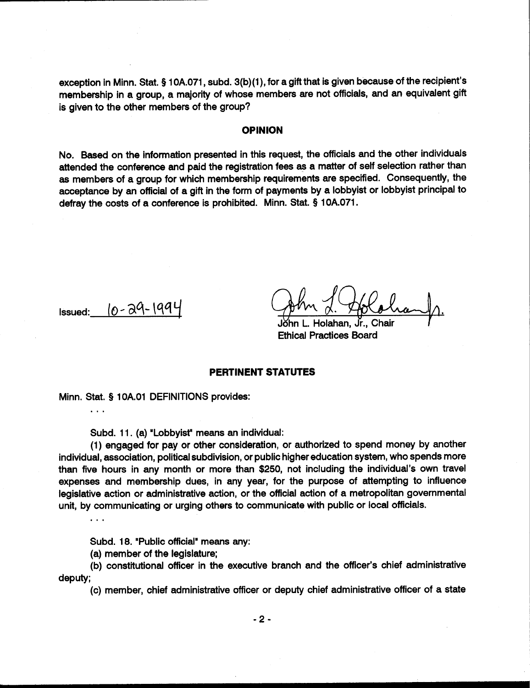exception in Minn. Stat. § 10A.071, subd. 3(b)(1), for a gift that is given because of the recipient's membership in a group, a majority of whose members are not officials, and an equivalent gift is given to the other members of the group?

## **OPINION**

No. Based on the information presented in this request, the officials and the other individuals attended the conference and paid the registration fees **as** a matter of self selection rather than **as** members of a group for which membership requirements are specified. Consequently, the acceptance by an official of a gift in the form of payments by a lobbyist or lobbyist principal to defray the costs of a conference is prohibited. Minn. Stat. **5** 10A.071.

Issued: **10** - **3%** (qq

Holahan Ethical Practices Board

## **PERTINENT STATUTES**

Minn. Stat. **5** 1 OA.O1 DEFINITIONS provides:

Subd. 11. (a) "Lobbyist" means **an** individual:

(1) engaged for pay or other consideration, or authorized to spend money by another individual, association, political subdivision, or public higher education system, who spends more than five hours in any month or more than \$250, not including the individual's own travel expenses and membership dues, in any year, for the purpose of attempting to influence legislative action or administrative action, or the official action of a metropolitan governmental unit, by communicating or urging others to communicate with public or local officials.

 $\cdots$ 

 $\ddotsc$ 

Subd. 18. "Public official" means any:

(a) member of the legislature;

(b) constitutional officer in the executive branch and the officer's chief administrative deputy;

(c) member, chief administrative officer or deputy chief administrative officer of a state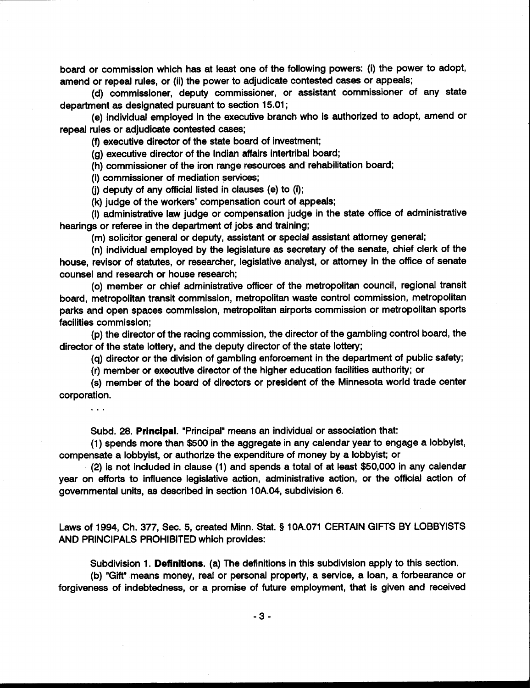board or commission which has at least one of the following powers: (i) the power to adopt, amend or repeal rules, or (ii) the power to adjudicate contested cases or appeals;

(d) commissioner, deputy commissioner, or assistant commissioner of any state department as designated pursuant to section 15.01 ;

(e) individual employed in the executive branch who is authorized to adopt, amend or repeal rules or adjudicate contested cases;

(9 executive director of the state board of investment;

(g) executive director of the Indian affairs intertribal board;

(h) commissioner of the iron range resources and rehabilitation board;

(i) commissioner of mediation services;

(j) deputy of any official listed in clauses (e) to (i);

(k) judge of the workers' compensation court of appeals;

(I) administrative law judge or compensation judge in the state office of administrative hearings or referee in the department of jobs and training;

(m) solicitor general or deputy, assistant or special assistant attorney general;

(n) individual employed by the legislature as secretary of the senate, chief clerk of the house, revisor of statutes, or researcher, legislative analyst, or attorney in the office of senate counsel and research or house research;

(0) member or chief administrative officer of the metropolitan council, regional transit board, metropolitan transit commission, metropolitan waste control commission, metropolitan parks and open spaces commission, metropolitan airports commission or metropolitan sports facilities commission;

(p) the director of the racing commission, the director of the gambling control board, the director of the state lottery, and the deputy director of the state lottery;

(q) director or the division of gambling enforcement in the department of public safety;

(r) member or executive director of the higher education facilities authority; or

(s) member of the board of directors or president of the Minnesota world trade center corporation.

 $\ddots$ 

Subd. 28. Principal. "Principal" means an individual or association that:

(1) spends more than \$500 in the aggregate in any calendar year to engage a lobbyist, compensate a lobbyist, or authorize the expenditure of money by a lobbyist; or

(2) is not included in clause (1) and spends a total of at least \$50,000 in any calendar year on efforts to influence legislative action, administrative action, or the official action of governmental units, as described in section 10A.04, subdivision 6.

Laws of 1994, Ch. 377, Sec. 5, created Minn. Stat. **5** 10A.071 CERTAIN GIFTS BY LOBBYISTS AND PRINCIPALS PROHIBITED which provides:

Subdivision 1. Definitions. (a) The definitions in this subdivision apply to this section.

(b) "Gift" means money, real or personal property, a service, a loan, a forbearance or forgiveness of indebtedness, or a promise of future employment, that is given and received